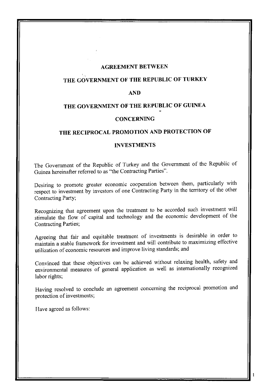#### **AGREEMENT BETWEEN**

## **THE GOVERNMENT OF THE REPUBLIC OF TURKEY**

## **AND**

# **THE GOVERNMENT OF THE REPUBLIC OF GUINEA**

## **CONCERNING**

## **THE RECIPROCAL PROMOTION AND PROTECTION OF**

## **INVESTMENTS**

The Government of the Republic of Turkey and the Government of the Republic of Guinea hereinafter referred to as "the Contracting Parties".

Desiring to promote greater economic cooperation between them, particularly with respect to investment by investors of one Contracting Party in the territory of the other Contracting Party;

Recognizing that agreement upon the treatment to be accorded such investment will stimulate the flow of capital and technology and the economic development of the Contracting Parties;

Agreeing that fair and equitable treatment of investments is desirable in order to maintain a stable framework for investment and will contribute to maximizing effective utilization of economic resources and improve living standards; and

Convinced that these objectives can be achieved without relaxing health, safety and environmental measures of general application as well as internationally recognized labor rights;

Having resolved to conclude an agreement concerning the reciprocal promotion and protection of investments;

Have agreed as follows: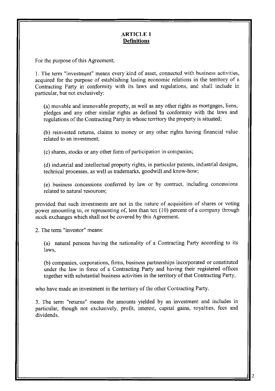## **ARTICLE I Definitions**

For the purpose of this Agreement;

1. The term "investment" means every kind of asset, connected with business activities, acquired for the purpose of establishing lasting economic relations in the territory of a Contracting Party in conformity with its laws and regulations, and shall include in particular, but not exclusively:

(a) movable and immovable property, as well as any other rights as mortgages, liens, pledges and any other similar rights as defined 'In conformity with the laws and regulations of the Contracting Party in whose territory the property is situated;

(b) reinvested returns, claims to money or any other rights having financial value related to an investment;

(c) shares, stocks or any other form of participation in companies;

( d) industrial and intellectual property rights, in particular patents, industrial designs, technical processes, as well as trademarks, goodwill and know-how;

(e) business concessions conferred by law or by contract, including concessions related to natural resources;

provided that such investments are not in the nature of acquisition of shares or voting power amounting to, or representing of, less than ten  $(10)$  percent of a company through stock exchanges which shall not be covered by this Agreement.

2. The term "investor" means:

(a) natural persons having the nationality of a Contracting Party according to its laws,

(b) companies, corporations, firms, business partnerships incorporated or constituted under the law in force of a Contracting Party and having their registered offices together with substantial business activities in the territory of that Contracting Party,

who have made an investment in the territory of the other Contracting Party.

3. The term "returns" means the amounts yielded by an investment and includes in particular, though not exclusively, profit, interest, capital gains, royalties, fees and dividends.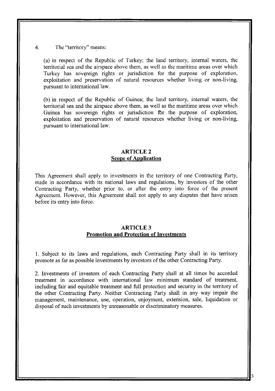4. The "territory" means:

(a) in respect of the Republic of Turkey; the land territory, internal waters, the territorial sea and the airspace above them, as well as the maritime areas over which Turkey has sovereign rights or jurisdiction for the purpose of exploration, exploitation and preservation of natural resources whether living or non-living, pursuant to international law.

(b) in respect of the Republic of Guinea; the land territory, internal waters, the territorial sea and the airspace above them, as well as the maritime areas over which Guinea has sovereign rights or jurisdiction for the purpose of exploration, exploitation and preservation of natural resources whether living or non-living, pursuant to international law.

## **ARTICLE2 Scope of Application**

This Agreement shall apply to investments in the territory of one Contracting Party, made in accordance with its national laws and regulations, by investors of the other Contracting Party, whether prior to, or after the entry into force of the present Agreement. However, this Agreement shall not apply to any disputes that have arisen before its entry into force.

## **ARTICLE3 Promotion and Protection of Investments**

1. Subject to its laws and regulations, each Contracting Party shall in its territory promote as far as possible investments by investors of the other Contracting Party.

2. Investments of investors of each Contracting Party shall at all times be accorded treatment in accordance with international law minimum standard of treatment, including fair and equitable treatment and full protection and security in the territory of the other Contracting Party. Neither Contracting Party shall in any way impair the management, maintenance, use, operation, enjoyment, extension, sale, liquidation or disposal of such investments by unreasonable or discriminatory measures.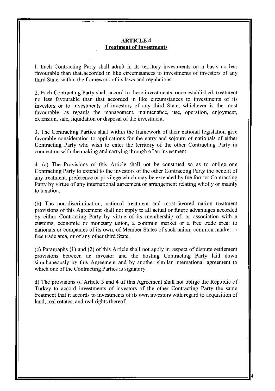## **ARTICLE4 Treatment of Investments**

I. Each Contracting Party shall admit in its territory investments on a basis no less favourable than that accorded in like circumstances to investments of investors of any third State, within the framework of its laws and regulations.

2. Each Contracting Party shall accord to these investments, once established, treatment no less favourable than that accorded in like circumstances to investments of its investors or to investments of investors of any third State, whichever is the most favourable, as regards the management, maintenance, use, operation, enjoyment, extension, sale, liquidation or disposal of the investment.

3. The Contracting Parties shall within the framework of their national legislation give favorable consideration to applications for the entry and sojourn of nationals of either Contracting Party who wish to enter the territory of the other Contracting Party in connection with the making and carrying through of an investment.

4. (a) The Provisions of this Article shall not be construed so as to oblige one Contracting Party to extend to the investors of the other Contracting Party the benefit of any treatment, preference or privilege which may be extended by the former Contracting Party by virtue of any international agreement or arrangement relating wholly or mainly to taxation.

(b) The non-discrimination, national treatment and most-favored nation treatment provisions of this Agreement shall not apply to all actual or future advantages accorded by either Contracting Party by virtue of its membership of, or association with a customs, economic or monetary union, a common market or a free trade area; to nationals or companies of its own, of Member States of such union, common market or free trade area, or of any other third State.

(c) Paragraphs (I) and (2) of this Article shall not apply in respect of dispute settlement provisions between an investor and the hosting Contracting Party laid down simultaneously by this Agreement and by another similar international agreement to which one of the Contracting Parties is signatory.

d) The provisions of Article 3 and 4 of this Agreement shall not oblige the Republic of Turkey to accord investments of investors of the other Contracting Party the same treatment that it accords to investments of its own investors with regard to acquisition of land, real estates, and real rights thereof.

**L:;;;;;;==========================..:.14**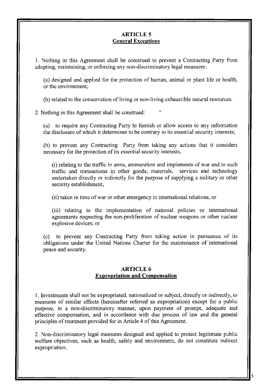## **ARTICLE 5 General Exceptions**

I. Nothing in this Agreement shall be construed to prevent a Contracting Party from adopting, maintaining, or enforcing any non-discriminatory legal measures:

(a) designed and applied for the protection of human, animal or plant life or health, or the environment;

(b) related to the conservation of living or non-living exhaustible natural resources.

2. Nothing in this Agreement shall be construed:

(a) to require any Contracting Party to furnish or allow access to any information the disclosure of which it determines to be contrary to its essential security interests;

(b) to prevent any Contracting Party from taking any actions that it considers necessary for the protection of its essential security interests,

(i) relating to the traffic in arms, ammunition and implements of war and to such traffic and transactions in other goods, materials, services and technology undertaken directly or indirectly for the purpose of supplying a military or other security establishment,

(ii) taken in time of war or other emergency in international relations, or

(iii) relating to the implementation of national policies or international agreements respecting the non-proliferation of nuclear weapons or other nuclear explosive devices; or

(c) to prevent any Contracting Party from taking action in pursuance of its obligations under the United Nations Charter for the maintenance of international peace and security.

#### **ARTICLE 6 Expropriation and Compensation**

1. Investments shall not be expropriated, nationalized or subject, directly or indirectly, to measures of similar effects (hereinafter referred as expropriation) except for a public purpose, in a non-discriminatory manner, upon payment of prompt, adequate and effective compensation, and in accordance with due process of law and the general principles of treatment provided for in Article 4 of this Agreement.

2. Non-discriminatory legal measures designed and applied to protect legitimate public welfare objectives, such as health, safety and environment, do not constitute indirect expropriation.

**L:;;;;;;;==========================15**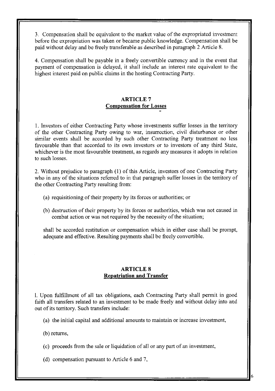3. Compensation shall be equivalent to the market value of the expropriated investment before the expropriation was taken or became public knowledge. Compensation shall be paid without delay and be freely transferable as described in paragraph 2 Article 8.

4. Compensation shall be payable in a freely convertible currency and in the event that payment of compensation is delayed, it shall include an interest rate equivalent to the highest interest paid on public claims in the hosting Contracting Party.

## **ARTICLE7 Compensation for Losses**

1. Investors of either Contracting Party whose investments suffer losses in the territory of the other Contracting Party owing to war, insurrection, civil disturbance or other similar events shall be accorded by such other Contracting Party treatment no less favourable than that accorded to its own investors or to investors of any third State, whichever is the most favourable treatment, as regards any measures it adopts in relation to such losses.

2. Without prejudice to paragraph (I) of this Article, investors of one Contracting Party who in any of the situations referred to in that paragraph suffer losses in the territory of the other Contracting Party resulting from:

- (a) requisitioning of their property by its forces or authorities; or
- (b) destruction of their property by its forces or authorities, which was not caused in combat action or was not required by the necessity of the situation;

shall be accorded restitution or compensation which in either case shall be prompt, adequate and effective. Resulting payments shall be freely convertible.

#### **ARTICLES Repatriation and Transfer**

I. Upon fulfillment of all tax obligations, each Contracting Party shall permit in good faith all transfers related to an investment to be made freely and without delay into and out of its territory. Such transfers include:

(a) the initial capital and additional amounts to maintain or increase investment,

**L:;;;;;============================;;;;;;;;!J6** 

- (b) returns,
- (c) proceeds from the sale or liquidation of all or any part of an investment,

(d) compensation pursuant to Article 6 and 7,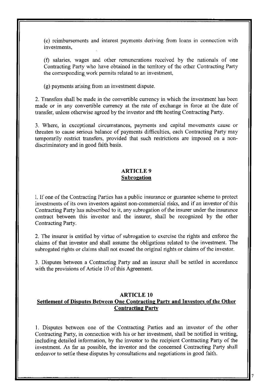(e) reimbursements and interest payments deriving from loans in connection with investments,

(f) salaries, wages and other remunerations received by the nationals of one Contracting Party who have obtained in the territory of the other Contracting Party the corresponding, work permits related to an investment,

(g) payments arising from an investment dispute.

2. Transfers shall be made in the convertible currency in which the investment has been made or in any convertible currency at the rate of exchange in force at the date of transfer, unless otherwise agreed by the investor and the hosting Contracting Party.

3. Where, in exceptional circumstances, payments and capital movements cause or threaten to cause serious balance of payments difficulties, each Contracting Party may temporarily restrict transfers, provided that such restrictions are imposed on a nondiscriminatory and in good faith basis.

## **ARTICLE9 Subrogation**

1. If one of the Contracting Parties has a public insurance or guarantee scheme to protect investments of its own investors against non-commercial risks, and if an investor of this Contracting Party has subscribed to it, any subrogation of the insurer under the insurance contract between this investor and the insurer, shall be recognized by the other Contracting Party.

2. The insurer is entitled by virtue of subrogation to exercise the rights and enforce the claims of that investor and shall assume the obligations related to the investment. The subrogated rights or claims shall not exceed the original rights or claims of the investor.

3. Disputes between a Contracting Party and an insurer shall be settled in accordance with the provisions of Article 10 of this Agreement.

#### **ARTICLE 10**

## **Settlement of Disputes Between One Contracting Party and Investors of the Other Contracting Party**

1. Disputes between one of the Contracting Parties and an investor of the other Contracting Party, in connection with his or her investment, shall be notified in writing, including detailed information, by the investor to the recipient Contracting Party of the investment. As far as possible, the investor and the concerned Contracting Party shall endeavor to settle these disputes by consultations and negotiations in good faith.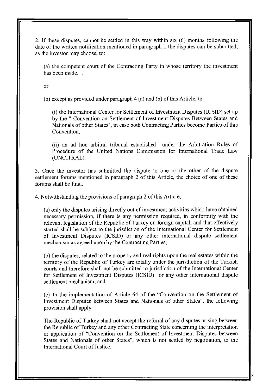2. If these disputes, cannot be settled in this way within six (6) months following the date of the written notification mentioned in paragraph 1, the disputes can be submitted, as the investor may choose, to:

(a) the competent court of the Contracting Party in whose territory the investment has been made,

or

(b) except as provided under paragraph 4 (a) and (b) of this Article, to:

(i) the International Center for Settlement of Irtvestment Disputes (ICSID) set up by the " Convention on Settlement of Investment Disputes Between States and Nationals of other States", in case both Contracting Parties become Parties of this Convention,

(ii) an ad hoc arbitral tribunal established under the Arbitration Rules of Procedure of the United Nations Commission for International Trade Law (UNCITRAL).

3. Once the investor has submitted the dispute to one or the other of the dispute settlement forums mentioned in paragraph 2 of this Article, the choice of one of these forums shall be final.

4. Notwithstanding the provisions of paragraph 2 of this Article;

(a) only the disputes arising directly out of investment activities which have obtained necessary permission, if there is any permission required, in conformity with the relevant legislation of the Republic of Turkey on foreign capital, and that effectively started shall be subject to the jurisdiction of the International Center for Settlement of Investment Disputes (ICSID) or any other international dispute settlement mechanism as agreed upon by the Contracting Parties;

(b) the disputes, related to the property and real rights upon the real estates within the territory of the Republic of Turkey are totally under the jurisdiction of the Turkish courts and therefore shall not be submitted to jurisdiction of the International Center for Settlement of Investment Disputes (ICSID) or any other international dispute settlement mechanism; and

(c) In the implementation of Article 64 of the "Convention on the Settlement of Investment Disputes between States and Nationals of other States", the following provision shall apply:

The Republic of Turkey shall not accept the referral of any disputes arising between the Republic of Turkey and any other Contracting State concerning the interpretation or application of "Convention on the Settlement of Investment Disputes between States and Nationals of other States", which is not settled by negotiation, to the International Court of Justice.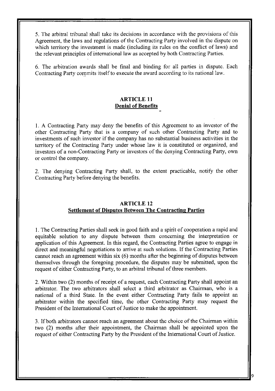5. The arbitral tribunal shall take its decisions in accordance with the provisions of this Agreement, the laws and regulations of the Contracting Party involved in the dispute on which territory the investment is made (including its rules on the conflict of laws) and the relevant principles of international law as accepted by both Contracting Parties.

6. The arbitration awards shall be final and binding for all parties in dispute. Each Contracting Party commits itself to execute the award according to its national law.

## **ARTICLE 11 Denial of Benefits**

1. A Contracting Party may deny the benefits of this Agreement to an investor of the other Contracting Party that is a company of such other Contracting Party and to investments of such investor if the company has no substantial business activities in the territory of the Contracting Party under whose law it is constituted or organized, and investors of a non-Contracting Party or investors of the denying Contracting Party, own or control the company.

2. The denying Contracting Party shall, to the extent practicable, notify the other Contracting Party before denying the benefits.

#### **ARTICLE 12 Settlement of Disputes Between The Contracting Parties**

1. The Contracting Parties shall seek in good faith and a spirit of cooperation a rapid and equitable solution to any dispute between them concerning the interpretation or application of this Agreement. In this regard, the Contracting Parties agree to engage in direct and meaningful negotiations to arrive at such solutions. If the Contracting Parties cannot reach an agreement within six (6) months after the beginning of disputes between themselves through the foregoing procedure, the disputes may be submitted, upon the request of either Contracting Party, to an arbitral tribunal of three members.

2. Within two (2) months of receipt of a request, each Contracting Party shall appoint an arbitrator. The two arbitrators shall select a third arbitrator as Chairman, who is a national of a third State. In the event either Contracting Party fails to appoint an arbitrator within the specified time, the other Contracting Party may request the President of the International Court of Justice to make the appointment.

3. If both arbitrators cannot reach an agreement about the choice of the Chairman within two (2) months after their appointment, the Chairman shall be appointed upon the request of either Contracting Party by the President of the International Court of Justice.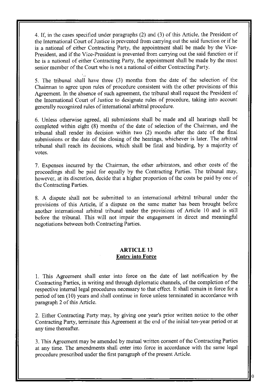4. If, in the cases specified under paragraphs (2) and (3) of this Article, the President of the International Court of Justice is prevented from carrying out the said function or if he is a national of either Contracting Party, the appointment shall be made by the Vice-President, and if the Vice-President is prevented from carrying out the said function or if he is a national of either Contracting Party, the appointment shall be made by the most senior member of the Court who is not a national of either Contracting Party.

5. The tribunal shall have three (3) months from the date of the selection of the Chairman to agree upon rules of procedure consistent with the other provisions of this Agreement. In the absence of such agreement, the tribunal shall request the President of the International Court of Justice to designate rules of procedure, taking into account generally recognized rules of international arbitral procedure.

6. Unless otherwise agreed, all submissions shall be made and all hearings shall be completed within eight (8) months of the date of selection of the Chairman, and the tribunal shall render its decision within two (2) months after the date of the final submissions or the date of the closing of the hearings, whichever is later. The arbitral tribunal shall reach its decisions, which shall be final and binding, by a majority of votes.

7. Expenses incurred by the Chairman, the other arbitrators, and other costs of the proceedings shall be paid for equally by the Contracting Parties. The tribunal may, however, at its discretion, decide that a higher proportion of the costs be paid by one of the Contracting Parties.

8. A dispute shall not be submitted to an international arbitral tribunal under the provisions of this Article, if a dispute on the same matter has been brought before another international arbitral tribunal under the provisions of Article 10 and is still before the tribunal. This will not impair the engagement in direct and meaningful negotiations between both Contracting Parties.

#### **ARTICLE 13 Entry into Force**

1. This Agreement shall enter into force on the date of last notification by the Contracting Parties, in writing and through diplomatic channels, of the completion of the respective internal legal procedures necessary to that effect. It shall remain in force for a period of ten (10) years and shall continue in force unless terminated in accordance with paragraph 2 of this Article.

2. Either Contracting Party may, by giving one year's prior written notice to the other Contracting Party, terminate this Agreement at the end of the initial ten-year period or at any time thereafter.

3. This Agreement may be amended by mutual written consent of the Contracting Parties at any time. The amendments shall enter into force in accordance with the same legal procedure prescribed under the first paragraph of the present Article.